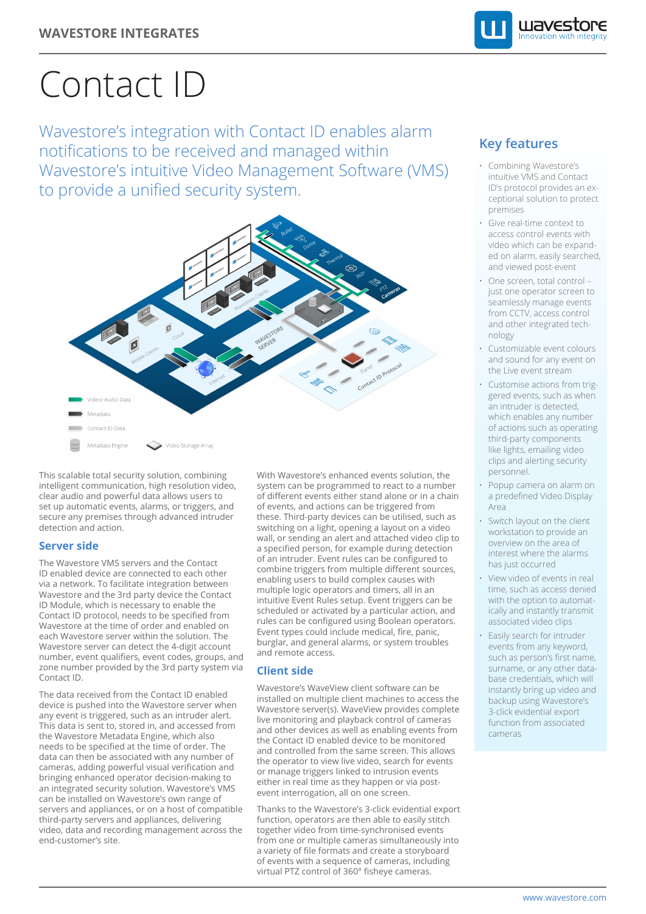

# Contact ID

Wavestore's integration with Contact ID enables alarm notifications to be received and managed within Wavestore's intuitive Video Management Software (VMS) to provide a unified security system.



This scalable total security solution, combining intelligent communication, high resolution video, clear audio and powerful data allows users to set up automatic events, alarms, or triggers, and secure any premises through advanced intruder detection and action.

### **Server side**

The Wavestore VMS servers and the Contact ID enabled device are connected to each other via a network. To facilitate integration between Wavestore and the 3rd party device the Contact ID Module, which is necessary to enable the Contact ID protocol, needs to be specified from Wavestore at the time of order and enabled on each Wavestore server within the solution. The Wavestore server can detect the 4-digit account number, event qualifiers, event codes, groups, and zone number provided by the 3rd party system via Contact ID.

The data received from the Contact ID enabled device is pushed into the Wavestore server when any event is triggered, such as an intruder alert. This data is sent to, stored in, and accessed from the Wavestore Metadata Engine, which also needs to be specified at the time of order. The data can then be associated with any number of cameras, adding powerful visual verification and bringing enhanced operator decision-making to an integrated security solution. Wavestore's VMS can be installed on Wavestore's own range of servers and appliances, or on a host of compatible third-party servers and appliances, delivering video, data and recording management across the end-customer's site.

With Wavestore's enhanced events solution, the system can be programmed to react to a number of different events either stand alone or in a chain of events, and actions can be triggered from these. Third-party devices can be utilised, such as switching on a light, opening a layout on a video wall, or sending an alert and attached video clip to a specified person, for example during detection of an intruder. Event rules can be configured to combine triggers from multiple different sources, enabling users to build complex causes with multiple logic operators and timers, all in an intuitive Event Rules setup. Event triggers can be scheduled or activated by a particular action, and rules can be configured using Boolean operators. Event types could include medical, fire, panic, burglar, and general alarms, or system troubles and remote access.

## **Client side**

Wavestore's WaveView client software can be installed on multiple client machines to access the Wavestore server(s). WaveView provides complete live monitoring and playback control of cameras and other devices as well as enabling events from the Contact ID enabled device to be monitored and controlled from the same screen. This allows the operator to view live video, search for events or manage triggers linked to intrusion events either in real time as they happen or via postevent interrogation, all on one screen.

Thanks to the Wavestore's 3-click evidential export function, operators are then able to easily stitch together video from time-synchronised events from one or multiple cameras simultaneously into a variety of file formats and create a storyboard of events with a sequence of cameras, including virtual PTZ control of 360° fisheye cameras.

# **Key features**

- Combining Wavestore's intuitive VMS and Contact ID's protocol provides an exceptional solution to protect premises
- Give real-time context to access control events with video which can be expanded on alarm, easily searched, and viewed post-event
- One screen, total control just one operator screen to seamlessly manage events from CCTV, access control and other integrated technology
- Customizable event colours and sound for any event on the Live event stream
- Customise actions from triggered events, such as when an intruder is detected, which enables any number of actions such as operating third-party components like lights, emailing video clips and alerting security personnel.
- Popup camera on alarm on a predefined Video Display Area
- Switch layout on the client workstation to provide an overview on the area of interest where the alarms has just occurred
- View video of events in real time, such as access denied with the option to automatically and instantly transmit associated video clips
- Easily search for intruder events from any keyword, such as person's first name, surname, or any other database credentials, which will instantly bring up video and backup using Wavestore's 3-click evidential export function from associated cameras